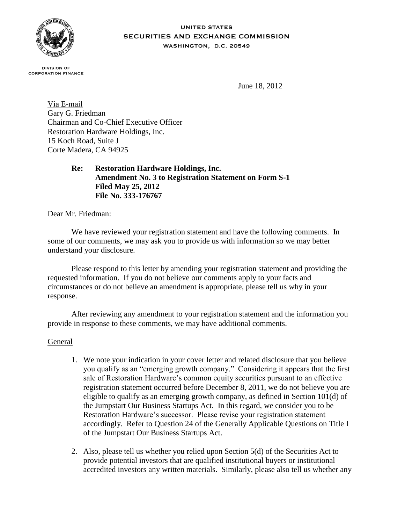

#### **UNITED STATES** SECURITIES AND EXCHANGE COMMISSION WASHINGTON, D.C. 20549

**DIVISION OF CORPORATION FINANCE** 

June 18, 2012

Via E-mail Gary G. Friedman Chairman and Co-Chief Executive Officer Restoration Hardware Holdings, Inc. 15 Koch Road, Suite J Corte Madera, CA 94925

> **Re: Restoration Hardware Holdings, Inc. Amendment No. 3 to Registration Statement on Form S-1 Filed May 25, 2012 File No. 333-176767**

Dear Mr. Friedman:

We have reviewed your registration statement and have the following comments. In some of our comments, we may ask you to provide us with information so we may better understand your disclosure.

Please respond to this letter by amending your registration statement and providing the requested information. If you do not believe our comments apply to your facts and circumstances or do not believe an amendment is appropriate, please tell us why in your response.

After reviewing any amendment to your registration statement and the information you provide in response to these comments, we may have additional comments.

#### General

- 1. We note your indication in your cover letter and related disclosure that you believe you qualify as an "emerging growth company." Considering it appears that the first sale of Restoration Hardware's common equity securities pursuant to an effective registration statement occurred before December 8, 2011, we do not believe you are eligible to qualify as an emerging growth company, as defined in Section 101(d) of the Jumpstart Our Business Startups Act. In this regard, we consider you to be Restoration Hardware's successor. Please revise your registration statement accordingly. Refer to Question 24 of the Generally Applicable Questions on Title I of the Jumpstart Our Business Startups Act.
- 2. Also, please tell us whether you relied upon Section 5(d) of the Securities Act to provide potential investors that are qualified institutional buyers or institutional accredited investors any written materials. Similarly, please also tell us whether any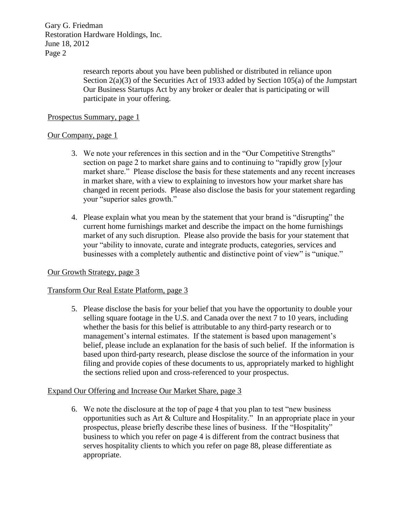> research reports about you have been published or distributed in reliance upon Section  $2(a)(3)$  of the Securities Act of 1933 added by Section 105(a) of the Jumpstart Our Business Startups Act by any broker or dealer that is participating or will participate in your offering.

## Prospectus Summary, page 1

## Our Company, page 1

- 3. We note your references in this section and in the "Our Competitive Strengths" section on page 2 to market share gains and to continuing to "rapidly grow [y]our market share." Please disclose the basis for these statements and any recent increases in market share, with a view to explaining to investors how your market share has changed in recent periods. Please also disclose the basis for your statement regarding your "superior sales growth."
- 4. Please explain what you mean by the statement that your brand is "disrupting" the current home furnishings market and describe the impact on the home furnishings market of any such disruption. Please also provide the basis for your statement that your "ability to innovate, curate and integrate products, categories, services and businesses with a completely authentic and distinctive point of view" is "unique."

## Our Growth Strategy, page 3

## Transform Our Real Estate Platform, page 3

5. Please disclose the basis for your belief that you have the opportunity to double your selling square footage in the U.S. and Canada over the next 7 to 10 years, including whether the basis for this belief is attributable to any third-party research or to management's internal estimates. If the statement is based upon management's belief, please include an explanation for the basis of such belief. If the information is based upon third-party research, please disclose the source of the information in your filing and provide copies of these documents to us, appropriately marked to highlight the sections relied upon and cross-referenced to your prospectus.

# Expand Our Offering and Increase Our Market Share, page 3

6. We note the disclosure at the top of page 4 that you plan to test "new business opportunities such as Art & Culture and Hospitality." In an appropriate place in your prospectus, please briefly describe these lines of business. If the "Hospitality" business to which you refer on page 4 is different from the contract business that serves hospitality clients to which you refer on page 88, please differentiate as appropriate.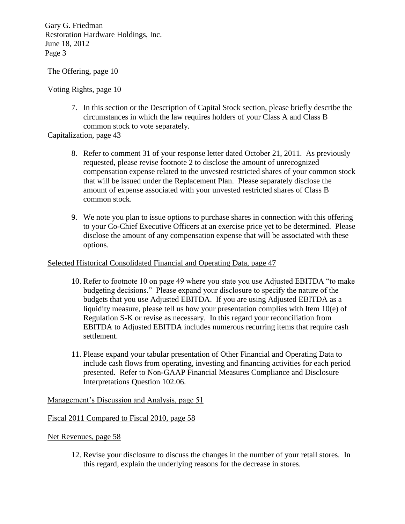## The Offering, page 10

# Voting Rights, page 10

7. In this section or the Description of Capital Stock section, please briefly describe the circumstances in which the law requires holders of your Class A and Class B common stock to vote separately.

# Capitalization, page 43

- 8. Refer to comment 31 of your response letter dated October 21, 2011. As previously requested, please revise footnote 2 to disclose the amount of unrecognized compensation expense related to the unvested restricted shares of your common stock that will be issued under the Replacement Plan. Please separately disclose the amount of expense associated with your unvested restricted shares of Class B common stock.
- 9. We note you plan to issue options to purchase shares in connection with this offering to your Co-Chief Executive Officers at an exercise price yet to be determined. Please disclose the amount of any compensation expense that will be associated with these options.

## Selected Historical Consolidated Financial and Operating Data, page 47

- 10. Refer to footnote 10 on page 49 where you state you use Adjusted EBITDA "to make budgeting decisions." Please expand your disclosure to specify the nature of the budgets that you use Adjusted EBITDA. If you are using Adjusted EBITDA as a liquidity measure, please tell us how your presentation complies with Item 10(e) of Regulation S-K or revise as necessary. In this regard your reconciliation from EBITDA to Adjusted EBITDA includes numerous recurring items that require cash settlement.
- 11. Please expand your tabular presentation of Other Financial and Operating Data to include cash flows from operating, investing and financing activities for each period presented. Refer to Non-GAAP Financial Measures Compliance and Disclosure Interpretations Question 102.06.

## Management's Discussion and Analysis, page 51

## Fiscal 2011 Compared to Fiscal 2010, page 58

## Net Revenues, page 58

12. Revise your disclosure to discuss the changes in the number of your retail stores. In this regard, explain the underlying reasons for the decrease in stores.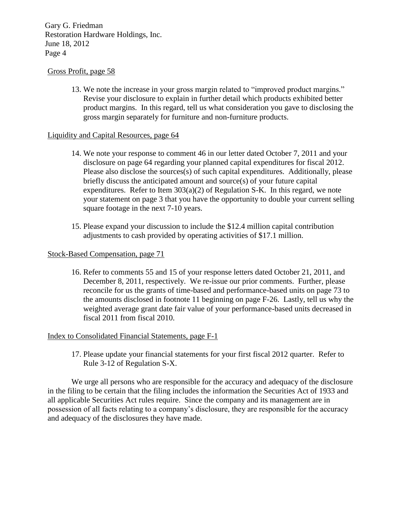### Gross Profit, page 58

13. We note the increase in your gross margin related to "improved product margins." Revise your disclosure to explain in further detail which products exhibited better product margins. In this regard, tell us what consideration you gave to disclosing the gross margin separately for furniture and non-furniture products.

### Liquidity and Capital Resources, page 64

- 14. We note your response to comment 46 in our letter dated October 7, 2011 and your disclosure on page 64 regarding your planned capital expenditures for fiscal 2012. Please also disclose the sources(s) of such capital expenditures. Additionally, please briefly discuss the anticipated amount and source(s) of your future capital expenditures. Refer to Item  $303(a)(2)$  of Regulation S-K. In this regard, we note your statement on page 3 that you have the opportunity to double your current selling square footage in the next 7-10 years.
- 15. Please expand your discussion to include the \$12.4 million capital contribution adjustments to cash provided by operating activities of \$17.1 million.

### Stock-Based Compensation, page 71

16. Refer to comments 55 and 15 of your response letters dated October 21, 2011, and December 8, 2011, respectively. We re-issue our prior comments. Further, please reconcile for us the grants of time-based and performance-based units on page 73 to the amounts disclosed in footnote 11 beginning on page F-26. Lastly, tell us why the weighted average grant date fair value of your performance-based units decreased in fiscal 2011 from fiscal 2010.

#### Index to Consolidated Financial Statements, page F-1

17. Please update your financial statements for your first fiscal 2012 quarter. Refer to Rule 3-12 of Regulation S-X.

We urge all persons who are responsible for the accuracy and adequacy of the disclosure in the filing to be certain that the filing includes the information the Securities Act of 1933 and all applicable Securities Act rules require. Since the company and its management are in possession of all facts relating to a company's disclosure, they are responsible for the accuracy and adequacy of the disclosures they have made.